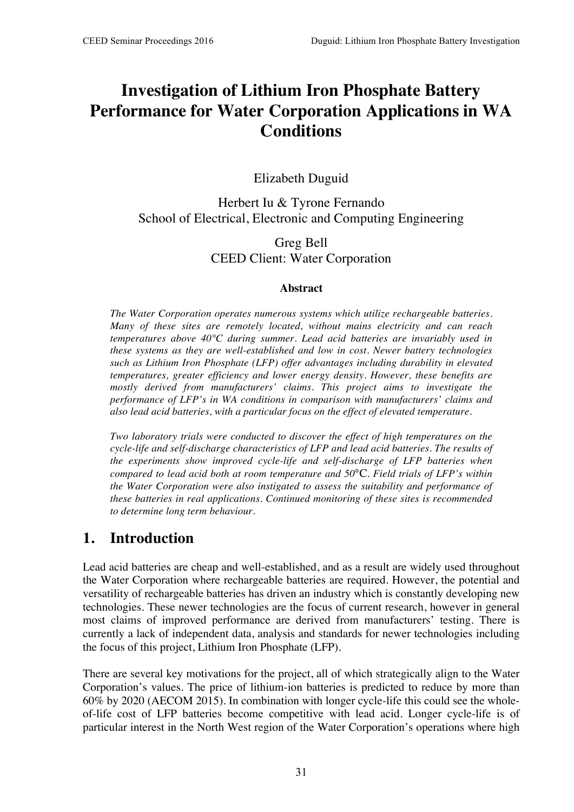# **Investigation of Lithium Iron Phosphate Battery Performance for Water Corporation Applications in WA Conditions**

Elizabeth Duguid

Herbert Iu & Tyrone Fernando School of Electrical, Electronic and Computing Engineering

> Greg Bell CEED Client: Water Corporation

#### **Abstract**

*The Water Corporation operates numerous systems which utilize rechargeable batteries. Many of these sites are remotely located, without mains electricity and can reach temperatures above 40°C during summer. Lead acid batteries are invariably used in these systems as they are well-established and low in cost. Newer battery technologies such as Lithium Iron Phosphate (LFP) offer advantages including durability in elevated temperatures, greater efficiency and lower energy density. However, these benefits are mostly derived from manufacturers' claims. This project aims to investigate the performance of LFP's in WA conditions in comparison with manufacturers' claims and also lead acid batteries, with a particular focus on the effect of elevated temperature.*

*Two laboratory trials were conducted to discover the effect of high temperatures on the cycle-life and self-discharge characteristics of LFP and lead acid batteries. The results of the experiments show improved cycle-life and self-discharge of LFP batteries when compared to lead acid both at room temperature and 50*°C*. Field trials of LFP's within the Water Corporation were also instigated to assess the suitability and performance of these batteries in real applications. Continued monitoring of these sites is recommended to determine long term behaviour.*

## **1. Introduction**

Lead acid batteries are cheap and well-established, and as a result are widely used throughout the Water Corporation where rechargeable batteries are required. However, the potential and versatility of rechargeable batteries has driven an industry which is constantly developing new technologies. These newer technologies are the focus of current research, however in general most claims of improved performance are derived from manufacturers' testing. There is currently a lack of independent data, analysis and standards for newer technologies including the focus of this project, Lithium Iron Phosphate (LFP).

There are several key motivations for the project, all of which strategically align to the Water Corporation's values. The price of lithium-ion batteries is predicted to reduce by more than 60% by 2020 (AECOM 2015). In combination with longer cycle-life this could see the wholeof-life cost of LFP batteries become competitive with lead acid. Longer cycle-life is of particular interest in the North West region of the Water Corporation's operations where high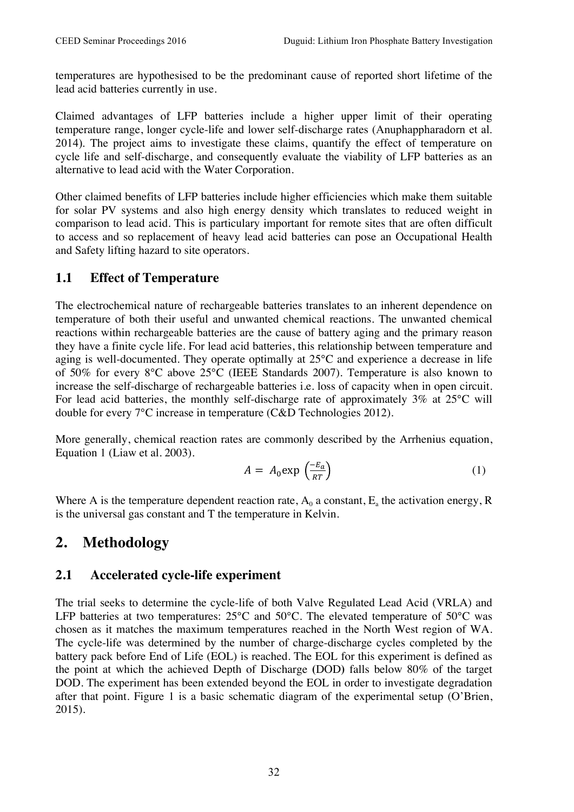temperatures are hypothesised to be the predominant cause of reported short lifetime of the lead acid batteries currently in use.

Claimed advantages of LFP batteries include a higher upper limit of their operating temperature range, longer cycle-life and lower self-discharge rates (Anuphappharadorn et al. 2014). The project aims to investigate these claims, quantify the effect of temperature on cycle life and self-discharge, and consequently evaluate the viability of LFP batteries as an alternative to lead acid with the Water Corporation.

Other claimed benefits of LFP batteries include higher efficiencies which make them suitable for solar PV systems and also high energy density which translates to reduced weight in comparison to lead acid. This is particulary important for remote sites that are often difficult to access and so replacement of heavy lead acid batteries can pose an Occupational Health and Safety lifting hazard to site operators.

#### **1.1 Effect of Temperature**

The electrochemical nature of rechargeable batteries translates to an inherent dependence on temperature of both their useful and unwanted chemical reactions. The unwanted chemical reactions within rechargeable batteries are the cause of battery aging and the primary reason they have a finite cycle life. For lead acid batteries, this relationship between temperature and aging is well-documented. They operate optimally at 25°C and experience a decrease in life of 50% for every 8°C above 25°C (IEEE Standards 2007). Temperature is also known to increase the self-discharge of rechargeable batteries i.e. loss of capacity when in open circuit. For lead acid batteries, the monthly self-discharge rate of approximately 3% at 25°C will double for every 7°C increase in temperature (C&D Technologies 2012).

More generally, chemical reaction rates are commonly described by the Arrhenius equation, Equation 1 (Liaw et al. 2003).

$$
A = A_0 \exp\left(\frac{-E_a}{RT}\right) \tag{1}
$$

Where A is the temperature dependent reaction rate,  $A_0$  a constant,  $E_a$  the activation energy, R is the universal gas constant and T the temperature in Kelvin.

# **2. Methodology**

#### **2.1 Accelerated cycle-life experiment**

The trial seeks to determine the cycle-life of both Valve Regulated Lead Acid (VRLA) and LFP batteries at two temperatures: 25°C and 50°C. The elevated temperature of 50°C was chosen as it matches the maximum temperatures reached in the North West region of WA. The cycle-life was determined by the number of charge-discharge cycles completed by the battery pack before End of Life (EOL) is reached. The EOL for this experiment is defined as the point at which the achieved Depth of Discharge **(**DOD**)** falls below 80% of the target DOD. The experiment has been extended beyond the EOL in order to investigate degradation after that point. Figure 1 is a basic schematic diagram of the experimental setup (O'Brien, 2015).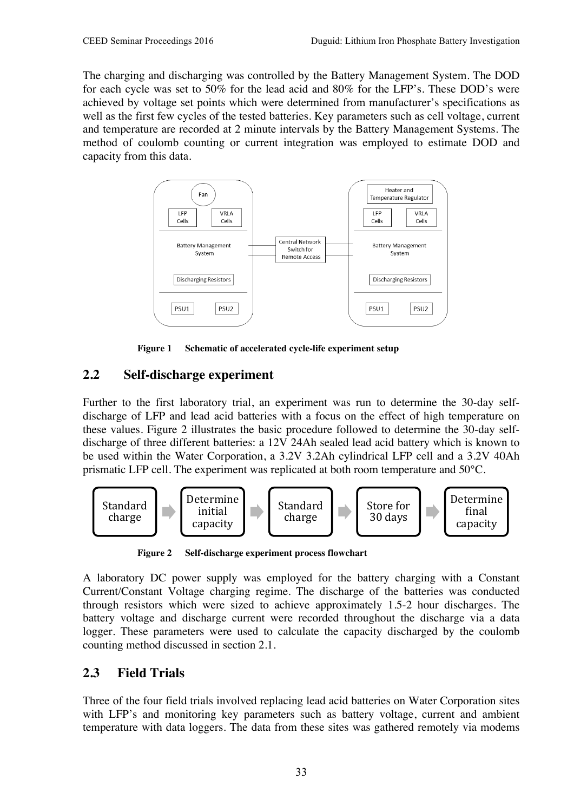The charging and discharging was controlled by the Battery Management System. The DOD for each cycle was set to 50% for the lead acid and 80% for the LFP's. These DOD's were achieved by voltage set points which were determined from manufacturer's specifications as well as the first few cycles of the tested batteries. Key parameters such as cell voltage, current and temperature are recorded at 2 minute intervals by the Battery Management Systems. The method of coulomb counting or current integration was employed to estimate DOD and capacity from this data.



**Figure 1 Schematic of accelerated cycle-life experiment setup**

### **2.2 Self-discharge experiment**

Further to the first laboratory trial, an experiment was run to determine the 30-day selfdischarge of LFP and lead acid batteries with a focus on the effect of high temperature on these values. Figure 2 illustrates the basic procedure followed to determine the 30-day selfdischarge of three different batteries: a 12V 24Ah sealed lead acid battery which is known to be used within the Water Corporation, a 3.2V 3.2Ah cylindrical LFP cell and a 3.2V 40Ah prismatic LFP cell. The experiment was replicated at both room temperature and 50°C.



**Figure 2 Self-discharge experiment process flowchart**

A laboratory DC power supply was employed for the battery charging with a Constant Current/Constant Voltage charging regime. The discharge of the batteries was conducted through resistors which were sized to achieve approximately 1.5-2 hour discharges. The battery voltage and discharge current were recorded throughout the discharge via a data logger. These parameters were used to calculate the capacity discharged by the coulomb counting method discussed in section 2.1.

#### **2.3 Field Trials**

Three of the four field trials involved replacing lead acid batteries on Water Corporation sites with LFP's and monitoring key parameters such as battery voltage, current and ambient temperature with data loggers. The data from these sites was gathered remotely via modems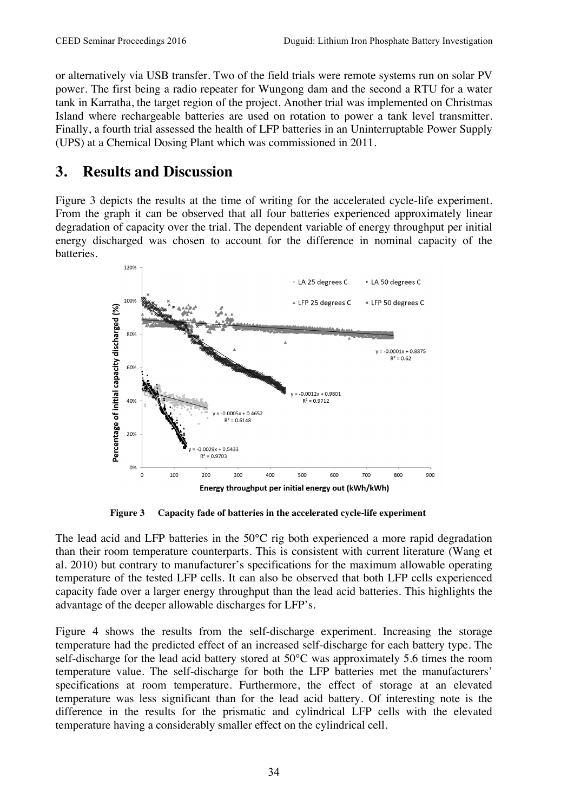or alternatively via USB transfer. Two of the field trials were remote systems run on solar PV power. The first being a radio repeater for Wungong dam and the second a RTU for a water tank in Karratha, the target region of the project. Another trial was implemented on Christmas Island where rechargeable batteries are used on rotation to power a tank level transmitter. Finally, a fourth trial assessed the health of LFP batteries in an Uninterruptable Power Supply (UPS) at a Chemical Dosing Plant which was commissioned in 2011.

### **3. Results and Discussion**

Figure 3 depicts the results at the time of writing for the accelerated cycle-life experiment. From the graph it can be observed that all four batteries experienced approximately linear degradation of capacity over the trial. The dependent variable of energy throughput per initial energy discharged was chosen to account for the difference in nominal capacity of the batteries.



**Figure 3 Capacity fade of batteries in the accelerated cycle-life experiment**

The lead acid and LFP batteries in the 50°C rig both experienced a more rapid degradation than their room temperature counterparts. This is consistent with current literature (Wang et al. 2010) but contrary to manufacturer's specifications for the maximum allowable operating temperature of the tested LFP cells. It can also be observed that both LFP cells experienced capacity fade over a larger energy throughput than the lead acid batteries. This highlights the advantage of the deeper allowable discharges for LFP's.

Figure 4 shows the results from the self-discharge experiment. Increasing the storage temperature had the predicted effect of an increased self-discharge for each battery type. The self-discharge for the lead acid battery stored at 50°C was approximately 5.6 times the room temperature value. The self-discharge for both the LFP batteries met the manufacturers' specifications at room temperature. Furthermore, the effect of storage at an elevated temperature was less significant than for the lead acid battery. Of interesting note is the difference in the results for the prismatic and cylindrical LFP cells with the elevated temperature having a considerably smaller effect on the cylindrical cell.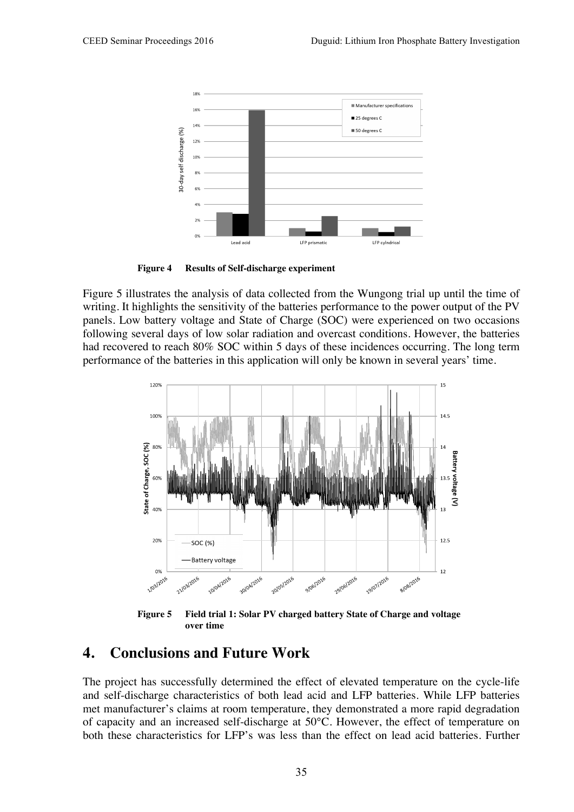

**Figure 4 Results of Self-discharge experiment**

Figure 5 illustrates the analysis of data collected from the Wungong trial up until the time of writing. It highlights the sensitivity of the batteries performance to the power output of the PV panels. Low battery voltage and State of Charge (SOC) were experienced on two occasions following several days of low solar radiation and overcast conditions. However, the batteries had recovered to reach 80% SOC within 5 days of these incidences occurring. The long term performance of the batteries in this application will only be known in several years' time.



**Figure 5 Field trial 1: Solar PV charged battery State of Charge and voltage over time**

#### **4. Conclusions and Future Work**

The project has successfully determined the effect of elevated temperature on the cycle-life and self-discharge characteristics of both lead acid and LFP batteries. While LFP batteries met manufacturer's claims at room temperature, they demonstrated a more rapid degradation of capacity and an increased self-discharge at 50°C. However, the effect of temperature on both these characteristics for LFP's was less than the effect on lead acid batteries. Further